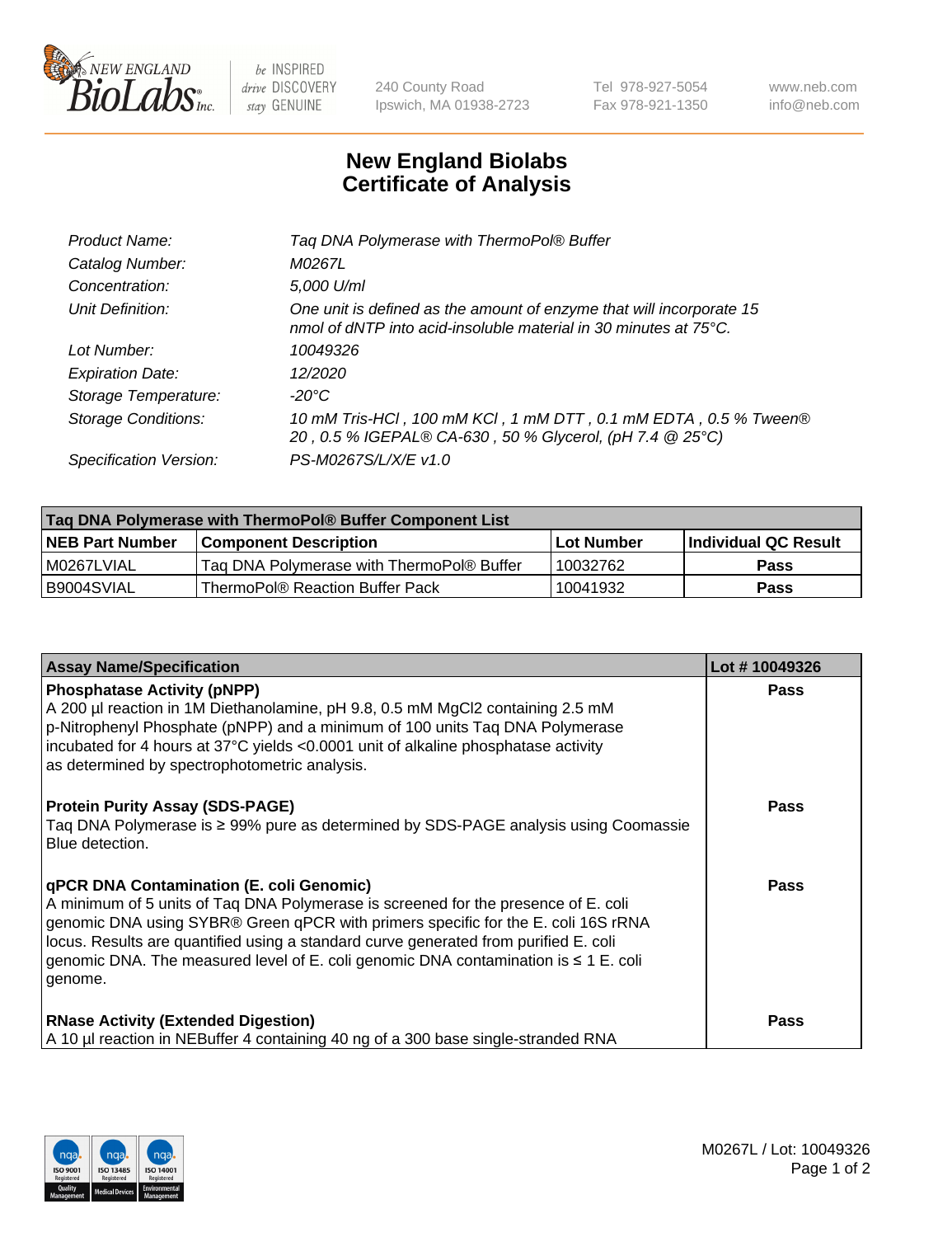

 $be$  INSPIRED drive DISCOVERY stay GENUINE

240 County Road Ipswich, MA 01938-2723 Tel 978-927-5054 Fax 978-921-1350 www.neb.com info@neb.com

## **New England Biolabs Certificate of Analysis**

| Taq DNA Polymerase with ThermoPol® Buffer                                                                                                |
|------------------------------------------------------------------------------------------------------------------------------------------|
| M0267L                                                                                                                                   |
| 5,000 U/ml                                                                                                                               |
| One unit is defined as the amount of enzyme that will incorporate 15<br>nmol of dNTP into acid-insoluble material in 30 minutes at 75°C. |
| 10049326                                                                                                                                 |
| 12/2020                                                                                                                                  |
| $-20^{\circ}$ C                                                                                                                          |
| 10 mM Tris-HCl, 100 mM KCl, 1 mM DTT, 0.1 mM EDTA, 0.5 % Tween®<br>20, 0.5 % IGEPAL® CA-630, 50 % Glycerol, (pH 7.4 @ 25°C)              |
| PS-M0267S/L/X/E v1.0                                                                                                                     |
|                                                                                                                                          |

| Taq DNA Polymerase with ThermoPol® Buffer Component List |                                           |                   |                      |  |  |
|----------------------------------------------------------|-------------------------------------------|-------------------|----------------------|--|--|
| <b>NEB Part Number</b>                                   | <b>Component Description</b>              | <b>Lot Number</b> | Individual QC Result |  |  |
| I M0267LVIAL                                             | Tag DNA Polymerase with ThermoPol® Buffer | 10032762          | Pass                 |  |  |
| B9004SVIAL                                               | ThermoPol® Reaction Buffer Pack           | 10041932          | Pass                 |  |  |

| <b>Assay Name/Specification</b>                                                                                                                                                                                                                                                                                                                                                                                           | Lot #10049326 |
|---------------------------------------------------------------------------------------------------------------------------------------------------------------------------------------------------------------------------------------------------------------------------------------------------------------------------------------------------------------------------------------------------------------------------|---------------|
| <b>Phosphatase Activity (pNPP)</b><br>A 200 µl reaction in 1M Diethanolamine, pH 9.8, 0.5 mM MgCl2 containing 2.5 mM<br>$\vert$ p-Nitrophenyl Phosphate (pNPP) and a minimum of 100 units Taq DNA Polymerase<br>incubated for 4 hours at 37°C yields <0.0001 unit of alkaline phosphatase activity<br>as determined by spectrophotometric analysis.                                                                       | <b>Pass</b>   |
| <b>Protein Purity Assay (SDS-PAGE)</b><br>Taq DNA Polymerase is ≥ 99% pure as determined by SDS-PAGE analysis using Coomassie<br>Blue detection.                                                                                                                                                                                                                                                                          | <b>Pass</b>   |
| <b>qPCR DNA Contamination (E. coli Genomic)</b><br>A minimum of 5 units of Taq DNA Polymerase is screened for the presence of E. coli<br>genomic DNA using SYBR® Green qPCR with primers specific for the E. coli 16S rRNA<br>locus. Results are quantified using a standard curve generated from purified E. coli<br>genomic DNA. The measured level of E. coli genomic DNA contamination is $\leq 1$ E. coli<br>genome. | <b>Pass</b>   |
| <b>RNase Activity (Extended Digestion)</b><br>A 10 µl reaction in NEBuffer 4 containing 40 ng of a 300 base single-stranded RNA                                                                                                                                                                                                                                                                                           | <b>Pass</b>   |